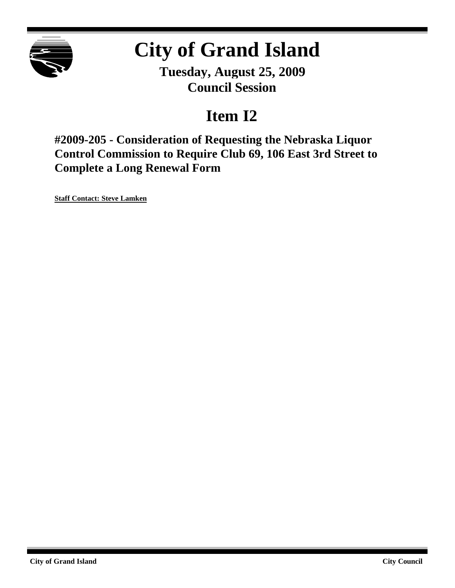

# **City of Grand Island**

**Tuesday, August 25, 2009 Council Session**

## **Item I2**

**#2009-205 - Consideration of Requesting the Nebraska Liquor Control Commission to Require Club 69, 106 East 3rd Street to Complete a Long Renewal Form**

**Staff Contact: Steve Lamken**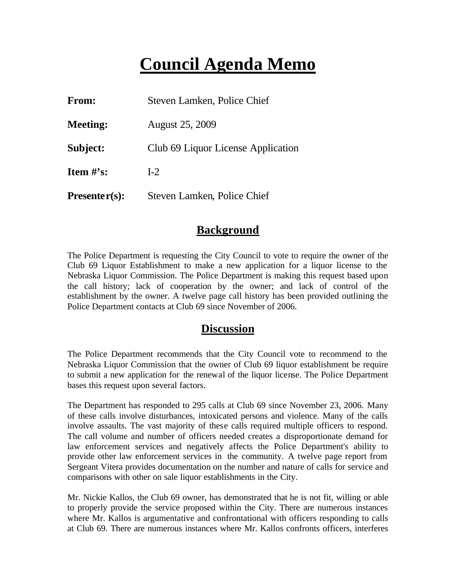## **Council Agenda Memo**

| From:                          | Steven Lamken, Police Chief        |
|--------------------------------|------------------------------------|
| <b>Meeting:</b>                | <b>August 25, 2009</b>             |
| Subject:                       | Club 69 Liquor License Application |
| <b>Item <math>\#</math>'s:</b> | $I-2$                              |
| $Presenter(s):$                | Steven Lamken, Police Chief        |

#### **Background**

The Police Department is requesting the City Council to vote to require the owner of the Club 69 Liquor Establishment to make a new application for a liquor license to the Nebraska Liquor Commission. The Police Department is making this request based upon the call history; lack of cooperation by the owner; and lack of control of the establishment by the owner. A twelve page call history has been provided outlining the Police Department contacts at Club 69 since November of 2006.

#### **Discussion**

The Police Department recommends that the City Council vote to recommend to the Nebraska Liquor Commission that the owner of Club 69 liquor establishment be require to submit a new application for the renewal of the liquor license. The Police Department bases this request upon several factors.

The Department has responded to 295 calls at Club 69 since November 23, 2006. Many of these calls involve disturbances, intoxicated persons and violence. Many of the calls involve assaults. The vast majority of these calls required multiple officers to respond. The call volume and number of officers needed creates a disproportionate demand for law enforcement services and negatively affects the Police Department's ability to provide other law enforcement services in the community. A twelve page report from Sergeant Vitera provides documentation on the number and nature of calls for service and comparisons with other on sale liquor establishments in the City.

Mr. Nickie Kallos, the Club 69 owner, has demonstrated that he is not fit, willing or able to properly provide the service proposed within the City. There are numerous instances where Mr. Kallos is argumentative and confrontational with officers responding to calls at Club 69. There are numerous instances where Mr. Kallos confronts officers, interferes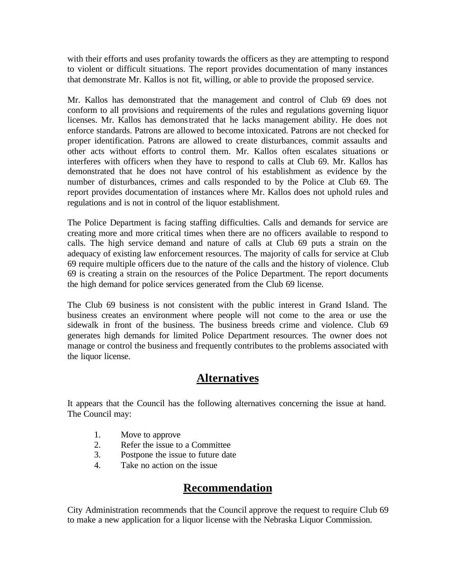with their efforts and uses profanity towards the officers as they are attempting to respond to violent or difficult situations. The report provides documentation of many instances that demonstrate Mr. Kallos is not fit, willing, or able to provide the proposed service.

Mr. Kallos has demonstrated that the management and control of Club 69 does not conform to all provisions and requirements of the rules and regulations governing liquor licenses. Mr. Kallos has demonstrated that he lacks management ability. He does not enforce standards. Patrons are allowed to become intoxicated. Patrons are not checked for proper identification. Patrons are allowed to create disturbances, commit assaults and other acts without efforts to control them. Mr. Kallos often escalates situations or interferes with officers when they have to respond to calls at Club 69. Mr. Kallos has demonstrated that he does not have control of his establishment as evidence by the number of disturbances, crimes and calls responded to by the Police at Club 69. The report provides documentation of instances where Mr. Kallos does not uphold rules and regulations and is not in control of the liquor establishment.

The Police Department is facing staffing difficulties. Calls and demands for service are creating more and more critical times when there are no officers available to respond to calls. The high service demand and nature of calls at Club 69 puts a strain on the adequacy of existing law enforcement resources. The majority of calls for service at Club 69 require multiple officers due to the nature of the calls and the history of violence. Club 69 is creating a strain on the resources of the Police Department. The report documents the high demand for police services generated from the Club 69 license.

The Club 69 business is not consistent with the public interest in Grand Island. The business creates an environment where people will not come to the area or use the sidewalk in front of the business. The business breeds crime and violence. Club 69 generates high demands for limited Police Department resources. The owner does not manage or control the business and frequently contributes to the problems associated with the liquor license.

### **Alternatives**

It appears that the Council has the following alternatives concerning the issue at hand. The Council may:

- 1. Move to approve
- 2. Refer the issue to a Committee
- 3. Postpone the issue to future date
- 4. Take no action on the issue

#### **Recommendation**

City Administration recommends that the Council approve the request to require Club 69 to make a new application for a liquor license with the Nebraska Liquor Commission.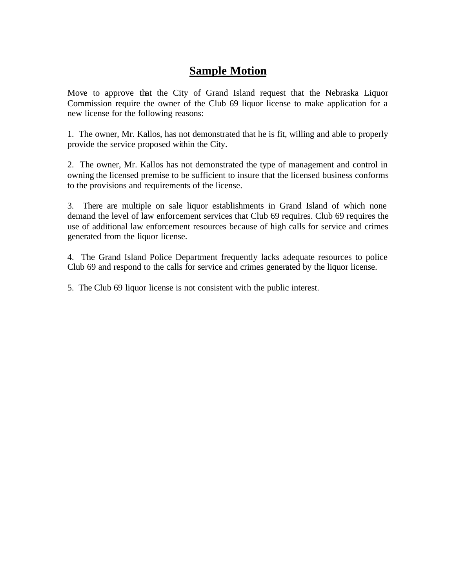### **Sample Motion**

Move to approve that the City of Grand Island request that the Nebraska Liquor Commission require the owner of the Club 69 liquor license to make application for a new license for the following reasons:

1. The owner, Mr. Kallos, has not demonstrated that he is fit, willing and able to properly provide the service proposed within the City.

2. The owner, Mr. Kallos has not demonstrated the type of management and control in owning the licensed premise to be sufficient to insure that the licensed business conforms to the provisions and requirements of the license.

3. There are multiple on sale liquor establishments in Grand Island of which none demand the level of law enforcement services that Club 69 requires. Club 69 requires the use of additional law enforcement resources because of high calls for service and crimes generated from the liquor license.

4. The Grand Island Police Department frequently lacks adequate resources to police Club 69 and respond to the calls for service and crimes generated by the liquor license.

5. The Club 69 liquor license is not consistent with the public interest.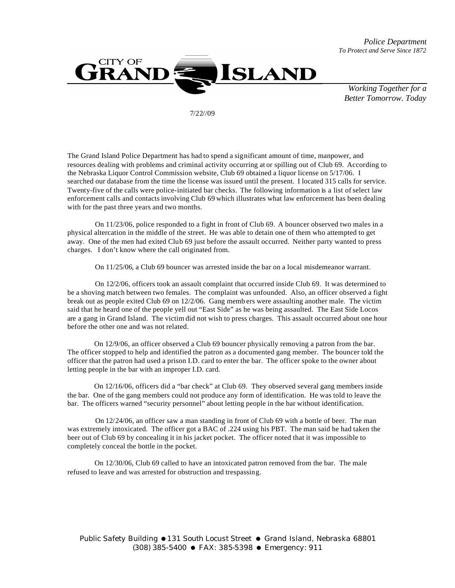



7/22//09

The Grand Island Police Department has had to spend a significant amount of time, manpower, and resources dealing with problems and criminal activity occurring at or spilling out of Club 69. According to the Nebraska Liquor Control Commission website, Club 69 obtained a liquor license on 5/17/06. I searched our database from the time the license was issued until the present. I located 315 calls for service. Twenty-five of the calls were police-initiated bar checks. The following information is a list of select law enforcement calls and contacts involving Club 69 which illustrates what law enforcement has been dealing with for the past three years and two months.

 On 11/23/06, police responded to a fight in front of Club 69. A bouncer observed two males in a physical altercation in the middle of the street. He was able to detain one of them who attempted to get away. One of the men had exited Club 69 just before the assault occurred. Neither party wanted to press charges. I don't know where the call originated from.

On 11/25/06, a Club 69 bouncer was arrested inside the bar on a local misdemeanor warrant.

 On 12/2/06, officers took an assault complaint that occurred inside Club 69. It was determined to be a shoving match between two females. The complaint was unfounded. Also, an officer observed a fight break out as people exited Club 69 on 12/2/06. Gang memb ers were assaulting another male. The victim said that he heard one of the people yell out "East Side" as he was being assaulted. The East Side Locos are a gang in Grand Island. The victim did not wish to press charges. This assault occurred about one hour before the other one and was not related.

 On 12/9/06, an officer observed a Club 69 bouncer physically removing a patron from the bar. The officer stopped to help and identified the patron as a documented gang member. The bouncer told the officer that the patron had used a prison I.D. card to enter the bar. The officer spoke to the owner about letting people in the bar with an improper I.D. card.

 On 12/16/06, officers did a "bar check" at Club 69. They observed several gang members inside the bar. One of the gang members could not produce any form of identification. He was told to leave the bar. The officers warned "security personnel" about letting people in the bar without identification.

 On 12/24/06, an officer saw a man standing in front of Club 69 with a bottle of beer. The man was extremely intoxicated. The officer got a BAC of .224 using his PBT. The man said he had taken the beer out of Club 69 by concealing it in his jacket pocket. The officer noted that it was impossible to completely conceal the bottle in the pocket.

 On 12/30/06, Club 69 called to have an intoxicated patron removed from the bar. The male refused to leave and was arrested for obstruction and trespassing.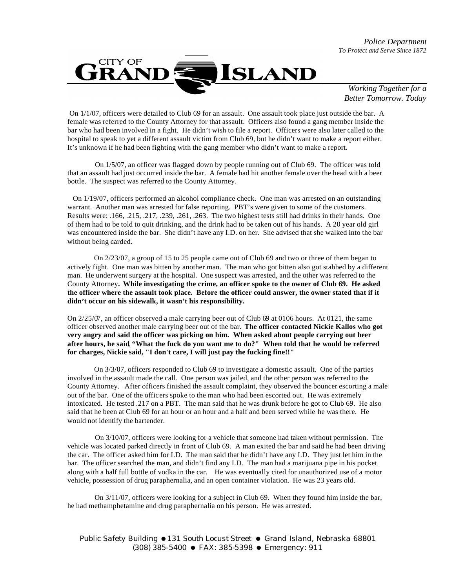

 On 1/1/07, officers were detailed to Club 69 for an assault. One assault took place just outside the bar. A female was referred to the County Attorney for that assault. Officers also found a gang member inside the bar who had been involved in a fight. He didn't wish to file a report. Officers were also later called to the hospital to speak to yet a different assault victim from Club 69, but he didn't want to make a report either. It's unknown if he had been fighting with the gang member who didn't want to make a report.

 On 1/5/07, an officer was flagged down by people running out of Club 69. The officer was told that an assault had just occurred inside the bar. A female had hit another female over the head with a beer bottle. The suspect was referred to the County Attorney.

 On 1/19/07, officers performed an alcohol compliance check. One man was arrested on an outstanding warrant. Another man was arrested for false reporting. PBT's were given to some of the customers. Results were: .166, .215, .217, .239, .261, .263. The two highest tests still had drinks in their hands. One of them had to be told to quit drinking, and the drink had to be taken out of his hands. A 20 year old girl was encountered inside the bar. She didn't have any I.D. on her. She advised that she walked into the bar without being carded.

 On 2/23/07, a group of 15 to 25 people came out of Club 69 and two or three of them began to actively fight. One man was bitten by another man. The man who got bitten also got stabbed by a different man. He underwent surgery at the hospital. One suspect was arrested, and the other was referred to the County Attorney**. While investigating the crime, an officer spoke to the owner of Club 69. He asked the officer where the assault took place. Before the officer could answer, the owner stated that if it didn't occur on his sidewalk, it wasn't his responsibility.**

On 2/25/07, an officer observed a male carrying beer out of Club 69 at 0106 hours. At 0121, the same officer observed another male carrying beer out of the bar. **The officer contacted Nickie Kallos who got very angry and said the officer was picking on him. When asked about people carrying out beer after hours, he said, "What the fuck do you want me to do?" When told that he would be referred for charges, Nickie said, "I don't care, I will just pay the fucking fine!!"**

 On 3/3/07, officers responded to Club 69 to investigate a domestic assault. One of the parties involved in the assault made the call. One person was jailed, and the other person was referred to the County Attorney. After officers finished the assault complaint, they observed the bouncer escorting a male out of the bar. One of the officers spoke to the man who had been escorted out. He was extremely intoxicated. He tested .217 on a PBT. The man said that he was drunk before he got to Club 69. He also said that he been at Club 69 for an hour or an hour and a half and been served while he was there. He would not identify the bartender.

 On 3/10/07, officers were looking for a vehicle that someone had taken without permission. The vehicle was located parked directly in front of Club 69. A man exited the bar and said he had been driving the car. The officer asked him for I.D. The man said that he didn't have any I.D. They just let him in the bar. The officer searched the man, and didn't find any I.D. The man had a marijuana pipe in his pocket along with a half full bottle of vodka in the car. He was eventually cited for unauthorized use of a motor vehicle, possession of drug paraphernalia, and an open container violation. He was 23 years old.

 On 3/11/07, officers were looking for a subject in Club 69. When they found him inside the bar, he had methamphetamine and drug paraphernalia on his person. He was arrested.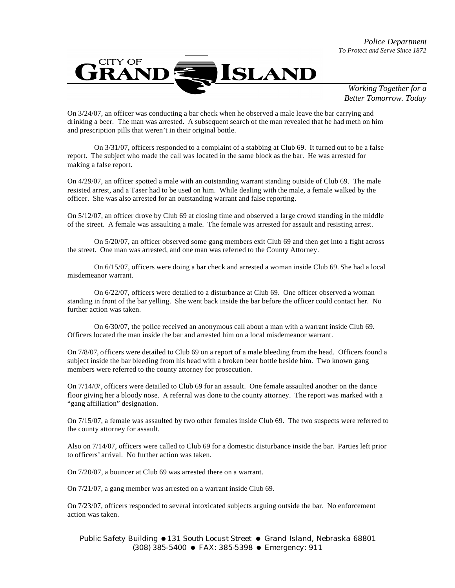

On 3/24/07, an officer was conducting a bar check when he observed a male leave the bar carrying and drinking a beer. The man was arrested. A subsequent search of the man revealed that he had meth on him and prescription pills that weren't in their original bottle.

On 3/31/07, officers responded to a complaint of a stabbing at Club 69. It turned out to be a false report. The subject who made the call was located in the same block as the bar. He was arrested for making a false report.

On 4/29/07, an officer spotted a male with an outstanding warrant standing outside of Club 69. The male resisted arrest, and a Taser had to be used on him. While dealing with the male, a female walked by the officer. She was also arrested for an outstanding warrant and false reporting.

On 5/12/07, an officer drove by Club 69 at closing time and observed a large crowd standing in the middle of the street. A female was assaulting a male. The female was arrested for assault and resisting arrest.

On 5/20/07, an officer observed some gang members exit Club 69 and then get into a fight across the street. One man was arrested, and one man was referred to the County Attorney.

On 6/15/07, officers were doing a bar check and arrested a woman inside Club 69. She had a local misdemeanor warrant.

On 6/22/07, officers were detailed to a disturbance at Club 69. One officer observed a woman standing in front of the bar yelling. She went back inside the bar before the officer could contact her. No further action was taken.

On 6/30/07, the police received an anonymous call about a man with a warrant inside Club 69. Officers located the man inside the bar and arrested him on a local misdemeanor warrant.

On 7/8/07, officers were detailed to Club 69 on a report of a male bleeding from the head. Officers found a subject inside the bar bleeding from his head with a broken beer bottle beside him. Two known gang members were referred to the county attorney for prosecution.

On 7/14/07, officers were detailed to Club 69 for an assault. One female assaulted another on the dance floor giving her a bloody nose. A referral was done to the county attorney. The report was marked with a "gang affiliation" designation.

On 7/15/07, a female was assaulted by two other females inside Club 69. The two suspects were referred to the county attorney for assault.

Also on 7/14/07, officers were called to Club 69 for a domestic disturbance inside the bar. Parties left prior to officers' arrival. No further action was taken.

On 7/20/07, a bouncer at Club 69 was arrested there on a warrant.

On 7/21/07, a gang member was arrested on a warrant inside Club 69.

On 7/23/07, officers responded to several intoxicated subjects arguing outside the bar. No enforcement action was taken.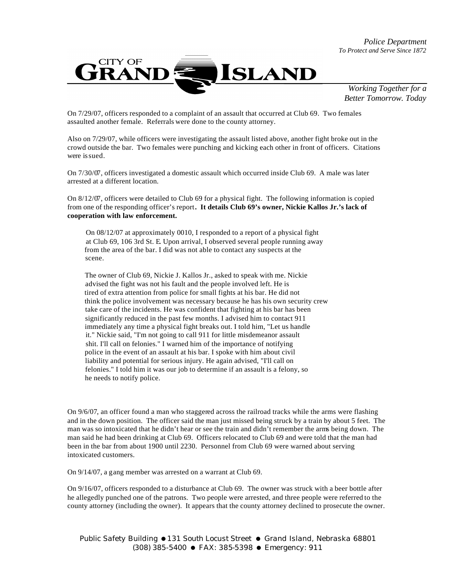

On 7/29/07, officers responded to a complaint of an assault that occurred at Club 69. Two females assaulted another female. Referrals were done to the county attorney.

Also on 7/29/07, while officers were investigating the assault listed above, another fight broke out in the crowd outside the bar. Two females were punching and kicking each other in front of officers. Citations were is sued.

On 7/30/07, officers investigated a domestic assault which occurred inside Club 69. A male was later arrested at a different location.

On 8/12/07, officers were detailed to Club 69 for a physical fight. The following information is copied from one of the responding officer's report**. It details Club 69's owner, Nickie Kallos Jr.'s lack of cooperation with law enforcement.** 

 On 08/12/07 at approximately 0010, I responded to a report of a physical fight at Club 69, 106 3rd St. E. Upon arrival, I observed several people running away from the area of the bar. I did was not able to contact any suspects at the scene.

 The owner of Club 69, Nickie J. Kallos Jr., asked to speak with me. Nickie advised the fight was not his fault and the people involved left. He is tired of extra attention from police for small fights at his bar. He did not think the police involvement was necessary because he has his own security crew take care of the incidents. He was confident that fighting at his bar has been significantly reduced in the past few months. I advised him to contact 911 immediately any time a physical fight breaks out. I told him, "Let us handle it." Nickie said, "I'm not going to call 911 for little misdemeanor assault shit. I'll call on felonies." I warned him of the importance of notifying police in the event of an assault at his bar. I spoke with him about civil liability and potential for serious injury. He again advised, "I'll call on felonies." I told him it was our job to determine if an assault is a felony, so he needs to notify police.

On 9/6/07, an officer found a man who staggered across the railroad tracks while the arms were flashing and in the down position. The officer said the man just missed being struck by a train by about 5 feet. The man was so intoxicated that he didn't hear or see the train and didn't remember the arms being down. The man said he had been drinking at Club 69. Officers relocated to Club 69 and were told that the man had been in the bar from about 1900 until 2230. Personnel from Club 69 were warned about serving intoxicated customers.

On 9/14/07, a gang member was arrested on a warrant at Club 69.

On 9/16/07, officers responded to a disturbance at Club 69. The owner was struck with a beer bottle after he allegedly punched one of the patrons. Two people were arrested, and three people were referred to the county attorney (including the owner). It appears that the county attorney declined to prosecute the owner.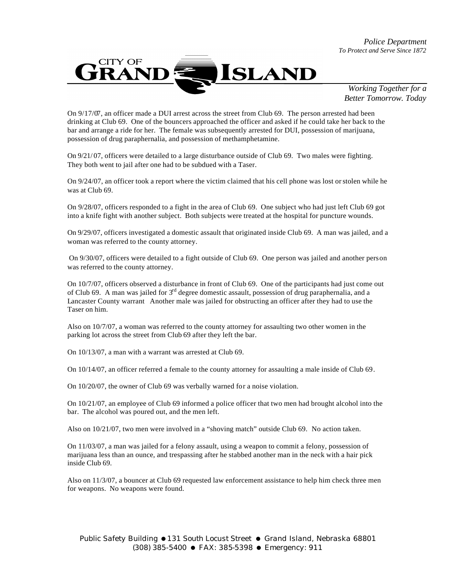

On 9/17/07, an officer made a DUI arrest across the street from Club 69. The person arrested had been drinking at Club 69. One of the bouncers approached the officer and asked if he could take her back to the bar and arrange a ride for her. The female was subsequently arrested for DUI, possession of marijuana, possession of drug paraphernalia, and possession of methamphetamine.

On 9/21/ 07, officers were detailed to a large disturbance outside of Club 69. Two males were fighting. They both went to jail after one had to be subdued with a Taser.

On 9/24/07, an officer took a report where the victim claimed that his cell phone was lost or stolen while he was at Club 69.

On 9/28/07, officers responded to a fight in the area of Club 69. One subject who had just left Club 69 got into a knife fight with another subject. Both subjects were treated at the hospital for puncture wounds.

On 9/29/07, officers investigated a domestic assault that originated inside Club 69. A man was jailed, and a woman was referred to the county attorney.

On 9/30/07, officers were detailed to a fight outside of Club 69. One person was jailed and another person was referred to the county attorney.

On 10/7/07, officers observed a disturbance in front of Club 69. One of the participants had just come out of Club 69. A man was jailed for  $3<sup>rd</sup>$  degree domestic assault, possession of drug paraphernalia, and a Lancaster County warrant Another male was jailed for obstructing an officer after they had to use the Taser on him.

Also on 10/7/07, a woman was referred to the county attorney for assaulting two other women in the parking lot across the street from Club 69 after they left the bar.

On 10/13/07, a man with a warrant was arrested at Club 69.

On 10/14/07, an officer referred a female to the county attorney for assaulting a male inside of Club 69.

On 10/20/07, the owner of Club 69 was verbally warned for a noise violation.

On 10/21/07, an employee of Club 69 informed a police officer that two men had brought alcohol into the bar. The alcohol was poured out, and the men left.

Also on 10/21/07, two men were involved in a "shoving match" outside Club 69. No action taken.

On 11/03/07, a man was jailed for a felony assault, using a weapon to commit a felony, possession of marijuana less than an ounce, and trespassing after he stabbed another man in the neck with a hair pick inside Club 69.

Also on 11/3/07, a bouncer at Club 69 requested law enforcement assistance to help him check three men for weapons. No weapons were found.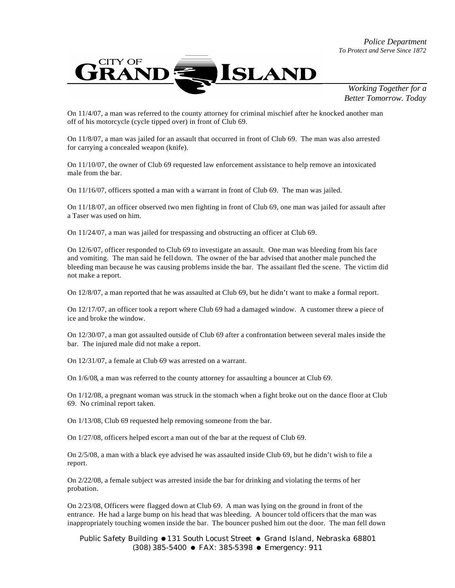

On 11/4/07, a man was referred to the county attorney for criminal mischief after he knocked another man off of his motorcycle (cycle tipped over) in front of Club 69.

On 11/8/07, a man was jailed for an assault that occurred in front of Club 69. The man was also arrested for carrying a concealed weapon (knife).

On 11/10/07, the owner of Club 69 requested law enforcement assistance to help remove an intoxicated male from the bar.

On 11/16/07, officers spotted a man with a warrant in front of Club 69. The man was jailed.

On 11/18/07, an officer observed two men fighting in front of Club 69, one man was jailed for assault after a Taser was used on him.

On 11/24/07, a man was jailed for trespassing and obstructing an officer at Club 69.

On 12/6/07, officer responded to Club 69 to investigate an assault. One man was bleeding from his face and vomiting. The man said he fell down. The owner of the bar advised that another male punched the bleeding man because he was causing problems inside the bar. The assailant fled the scene. The victim did not make a report.

On 12/8/07, a man reported that he was assaulted at Club 69, but he didn't want to make a formal report.

On 12/17/07, an officer took a report where Club 69 had a damaged window. A customer threw a piece of ice and broke the window.

On 12/30/07, a man got assaulted outside of Club 69 after a confrontation between several males inside the bar. The injured male did not make a report.

On 12/31/07, a female at Club 69 was arrested on a warrant.

On 1/6/08, a man was referred to the county attorney for assaulting a bouncer at Club 69.

On 1/12/08, a pregnant woman was struck in the stomach when a fight broke out on the dance floor at Club 69. No criminal report taken.

On 1/13/08, Club 69 requested help removing someone from the bar.

On 1/27/08, officers helped escort a man out of the bar at the request of Club 69.

On 2/5/08, a man with a black eye advised he was assaulted inside Club 69, but he didn't wish to file a report.

On 2/22/08, a female subject was arrested inside the bar for drinking and violating the terms of her probation.

On 2/23/08, Officers were flagged down at Club 69. A man was lying on the ground in front of the entrance. He had a large bump on his head that was bleeding. A bouncer told officers that the man was inappropriately touching women inside the bar. The bouncer pushed him out the door. The man fell down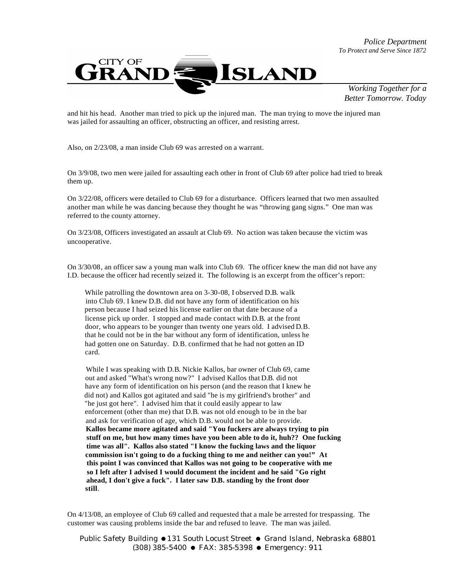

and hit his head. Another man tried to pick up the injured man. The man trying to move the injured man was jailed for assaulting an officer, obstructing an officer, and resisting arrest.

Also, on 2/23/08, a man inside Club 69 was arrested on a warrant.

On 3/9/08, two men were jailed for assaulting each other in front of Club 69 after police had tried to break them up.

On 3/22/08, officers were detailed to Club 69 for a disturbance. Officers learned that two men assaulted another man while he was dancing because they thought he was "throwing gang signs." One man was referred to the county attorney.

On 3/23/08, Officers investigated an assault at Club 69. No action was taken because the victim was uncooperative.

On 3/30/08, an officer saw a young man walk into Club 69. The officer knew the man did not have any I.D. because the officer had recently seized it. The following is an excerpt from the officer's report:

 While patrolling the downtown area on 3-30-08, I observed D.B. walk into Club 69. I knew D.B. did not have any form of identification on his person because I had seized his license earlier on that date because of a license pick up order. I stopped and made contact with D.B. at the front door, who appears to be younger than twenty one years old. I advised D.B. that he could not be in the bar without any form of identification, unless he had gotten one on Saturday. D.B. confirmed that he had not gotten an ID card.

 While I was speaking with D.B. Nickie Kallos, bar owner of Club 69, came out and asked "What's wrong now?" I advised Kallos that D.B. did not have any form of identification on his person (and the reason that I knew he did not) and Kallos got agitated and said "he is my girlfriend's brother" and "he just got here". I advised him that it could easily appear to law enforcement (other than me) that D.B. was not old enough to be in the bar and ask for verification of age, which D.B. would not be able to provide. **Kallos became more agitated and said "You fuckers are always trying to pin stuff on me, but how many times have you been able to do it, huh?? One fucking time was all". Kallos also stated "I know the fucking laws and the liquor commission isn't going to do a fucking thing to me and neither can you!" At this point I was convinced that Kallos was not going to be cooperative with me so I left after I advised I would document the incident and he said "Go right ahead, I don't give a fuck". I later saw D.B. standing by the front door still**.

On 4/13/08, an employee of Club 69 called and requested that a male be arrested for trespassing. The customer was causing problems inside the bar and refused to leave. The man was jailed.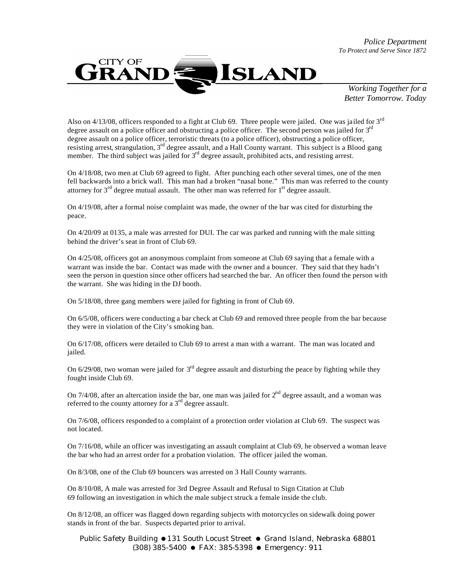*Police Department To Protect and Serve Since 1872*



*Working Together for a Better Tomorrow. Today*

Also on  $4/13/08$ , officers responded to a fight at Club 69. Three people were jailed. One was jailed for  $3<sup>rd</sup>$ degree assault on a police officer and obstructing a police officer. The second person was jailed for 3<sup>rd</sup> degree assault on a police officer, terroristic threats (to a police officer), obstructing a police officer, resisting arrest, strangulation, 3rd degree assault, and a Hall County warrant. This subject is a Blood gang member. The third subject was jailed for 3<sup>rd</sup> degree assault, prohibited acts, and resisting arrest.

On 4/18/08, two men at Club 69 agreed to fight. After punching each other several times, one of the men fell backwards into a brick wall. This man had a broken "nasal bone." This man was referred to the county attorney for  $3<sup>rd</sup>$  degree mutual assault. The other man was referred for  $1<sup>st</sup>$  degree assault.

On 4/19/08, after a formal noise complaint was made, the owner of the bar was cited for disturbing the peace.

On 4/20/09 at 0135, a male was arrested for DUI. The car was parked and running with the male sitting behind the driver's seat in front of Club 69.

On 4/25/08, officers got an anonymous complaint from someone at Club 69 saying that a female with a warrant was inside the bar. Contact was made with the owner and a bouncer. They said that they hadn't seen the person in question since other officers had searched the bar. An officer then found the person with the warrant. She was hiding in the DJ booth.

On 5/18/08, three gang members were jailed for fighting in front of Club 69.

On 6/5/08, officers were conducting a bar check at Club 69 and removed three people from the bar because they were in violation of the City's smoking ban.

On 6/17/08, officers were detailed to Club 69 to arrest a man with a warrant. The man was located and jailed.

On  $6/29/08$ , two woman were jailed for  $3<sup>rd</sup>$  degree assault and disturbing the peace by fighting while they fought inside Club 69.

On  $7/4/08$ , after an altercation inside the bar, one man was jailed for  $2<sup>nd</sup>$  degree assault, and a woman was referred to the county attorney for a 3<sup>rd</sup> degree assault.

On 7/6/08, officers responded to a complaint of a protection order violation at Club 69. The suspect was not located.

On 7/16/08, while an officer was investigating an assault complaint at Club 69, he observed a woman leave the bar who had an arrest order for a probation violation. The officer jailed the woman.

On 8/3/08, one of the Club 69 bouncers was arrested on 3 Hall County warrants.

On 8/10/08, A male was arrested for 3rd Degree Assault and Refusal to Sign Citation at Club 69 following an investigation in which the male subject struck a female inside the club.

On 8/12/08, an officer was flagged down regarding subjects with motorcycles on sidewalk doing power stands in front of the bar. Suspects departed prior to arrival.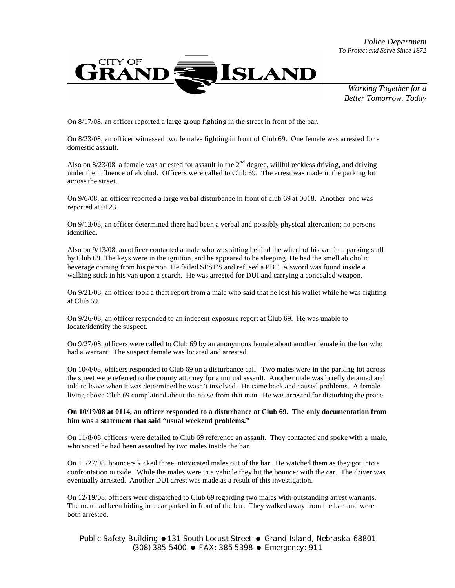*Police Department To Protect and Serve Since 1872*



*Working Together for a Better Tomorrow. Today*

On 8/17/08, an officer reported a large group fighting in the street in front of the bar.

On 8/23/08, an officer witnessed two females fighting in front of Club 69. One female was arrested for a domestic assault.

Also on  $8/23/08$ , a female was arrested for assault in the  $2<sup>nd</sup>$  degree, willful reckless driving, and driving under the influence of alcohol. Officers were called to Club 69. The arrest was made in the parking lot across the street.

On 9/6/08, an officer reported a large verbal disturbance in front of club 69 at 0018. Another one was reported at 0123.

On 9/13/08, an officer determined there had been a verbal and possibly physical altercation; no persons identified.

Also on 9/13/08, an officer contacted a male who was sitting behind the wheel of his van in a parking stall by Club 69. The keys were in the ignition, and he appeared to be sleeping. He had the smell alcoholic beverage coming from his person. He failed SFST'S and refused a PBT. A sword was found inside a walking stick in his van upon a search. He was arrested for DUI and carrying a concealed weapon.

On 9/21/08, an officer took a theft report from a male who said that he lost his wallet while he was fighting at Club 69.

On 9/26/08, an officer responded to an indecent exposure report at Club 69. He was unable to locate/identify the suspect.

On 9/27/08, officers were called to Club 69 by an anonymous female about another female in the bar who had a warrant. The suspect female was located and arrested.

On 10/4/08, officers responded to Club 69 on a disturbance call. Two males were in the parking lot across the street were referred to the county attorney for a mutual assault. Another male was briefly detained and told to leave when it was determined he wasn't involved. He came back and caused problems. A female living above Club 69 complained about the noise from that man. He was arrested for disturbing the peace.

#### **On 10/19/08 at 0114, an officer responded to a disturbance at Club 69. The only documentation from him was a statement that said "usual weekend problems."**

On 11/8/08, officers were detailed to Club 69 reference an assault. They contacted and spoke with a male, who stated he had been assaulted by two males inside the bar.

On 11/27/08, bouncers kicked three intoxicated males out of the bar. He watched them as they got into a confrontation outside. While the males were in a vehicle they hit the bouncer with the car. The driver was eventually arrested. Another DUI arrest was made as a result of this investigation.

On 12/19/08, officers were dispatched to Club 69 regarding two males with outstanding arrest warrants. The men had been hiding in a car parked in front of the bar. They walked away from the bar and were both arrested.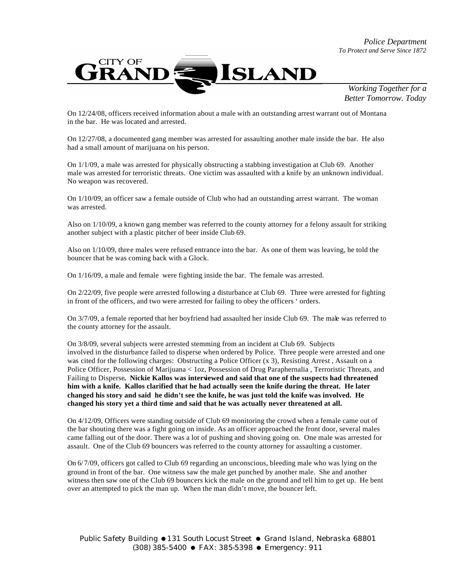

On 12/24/08, officers received information about a male with an outstanding arrest warrant out of Montana in the bar. He was located and arrested.

On 12/27/08, a documented gang member was arrested for assaulting another male inside the bar. He also had a small amount of marijuana on his person.

On 1/1/09, a male was arrested for physically obstructing a stabbing investigation at Club 69. Another male was arrested for terroristic threats. One victim was assaulted with a knife by an unknown individual. No weapon was recovered.

On 1/10/09, an officer saw a female outside of Club who had an outstanding arrest warrant. The woman was arrested.

Also on 1/10/09, a known gang member was referred to the county attorney for a felony assault for striking another subject with a plastic pitcher of beer inside Club 69.

Also on 1/10/09, three males were refused entrance into the bar. As one of them was leaving, he told the bouncer that he was coming back with a Glock.

On 1/16/09, a male and female were fighting inside the bar. The female was arrested.

On 2/22/09, five people were arrested following a disturbance at Club 69. Three were arrested for fighting in front of the officers, and two were arrested for failing to obey the officers ' orders.

On 3/7/09, a female reported that her boyfriend had assaulted her inside Club 69. The male was referred to the county attorney for the assault.

On 3/8/09, several subjects were arrested stemming from an incident at Club 69. Subjects involved in the disturbance failed to disperse when ordered by Police. Three people were arrested and one was cited for the following charges: Obstructing a Police Officer (x 3), Resisting Arrest , Assault on a Police Officer, Possession of Marijuana < 1oz, Possession of Drug Paraphernalia , Terroristic Threats, and Failing to Disperse**. Nickie Kallos was interviewed and said that one of the suspects had threatened him with a knife. Kallos clarified that he had actually seen the knife during the threat. He later changed his story and said he didn't see the knife, he was just told the knife was involved. He changed his story yet a third time and said that he was actually never threatened at all.**

On 4/12/09, Officers were standing outside of Club 69 monitoring the crowd when a female came out of the bar shouting there was a fight going on inside. As an officer approached the front door, several males came falling out of the door. There was a lot of pushing and shoving going on. One male was arrested for assault. One of the Club 69 bouncers was referred to the county attorney for assaulting a customer.

On 6/ 7/09, officers got called to Club 69 regarding an unconscious, bleeding male who was lying on the ground in front of the bar. One witness saw the male get punched by another male. She and another witness then saw one of the Club 69 bouncers kick the male on the ground and tell him to get up. He bent over an attempted to pick the man up. When the man didn't move, the bouncer left.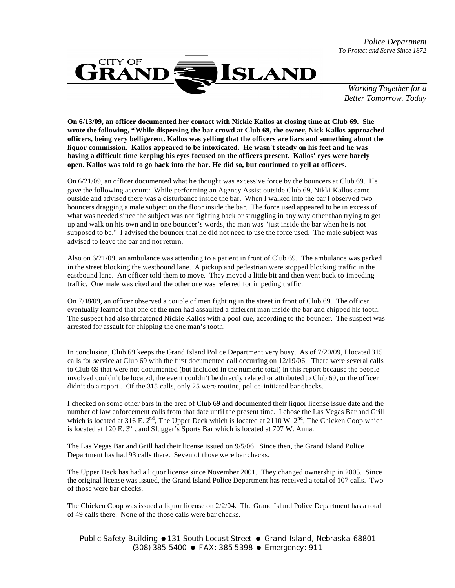*Police Department To Protect and Serve Since 1872*



*Working Together for a Better Tomorrow. Today*

**On 6/13/09, an officer documented her contact with Nickie Kallos at closing time at Club 69. She wrote the following, "While dispersing the bar crowd at Club 69, the owner, Nick Kallos approached officers, being very belligerent. Kallos was yelling that the officers are liars and something about the liquor commission. Kallos appeared to be intoxicated. He wasn't steady on his feet and he was having a difficult time keeping his eyes focused on the officers present. Kallos' eyes were barely open. Kallos was told to go back into the bar. He did so, but continued to yell at officers.**

On 6/21/09, an officer documented what he thought was excessive force by the bouncers at Club 69. He gave the following account: While performing an Agency Assist outside Club 69, Nikki Kallos came outside and advised there was a disturbance inside the bar. When I walked into the bar I observed two bouncers dragging a male subject on the floor inside the bar. The force used appeared to be in excess of what was needed since the subject was not fighting back or struggling in any way other than trying to get up and walk on his own and in one bouncer's words, the man was "just inside the bar when he is not supposed to be." I advised the bouncer that he did not need to use the force used. The male subject was advised to leave the bar and not return.

Also on 6/21/09, an ambulance was attending to a patient in front of Club 69. The ambulance was parked in the street blocking the westbound lane. A pickup and pedestrian were stopped blocking traffic in the eastbound lane. An officer told them to move. They moved a little bit and then went back to impeding traffic. One male was cited and the other one was referred for impeding traffic.

On 7/18/09, an officer observed a couple of men fighting in the street in front of Club 69. The officer eventually learned that one of the men had assaulted a different man inside the bar and chipped his tooth. The suspect had also threatened Nickie Kallos with a pool cue, according to the bouncer. The suspect was arrested for assault for chipping the one man's tooth.

In conclusion, Club 69 keeps the Grand Island Police Department very busy. As of 7/20/09, I located 315 calls for service at Club 69 with the first documented call occurring on 12/19/06. There were several calls to Club 69 that were not documented (but included in the numeric total) in this report because the people involved couldn't be located, the event couldn't be directly related or attributed to Club 69, or the officer didn't do a report . Of the 315 calls, only 25 were routine, police-initiated bar checks.

I checked on some other bars in the area of Club 69 and documented their liquor license issue date and the number of law enforcement calls from that date until the present time. I chose the Las Vegas Bar and Grill which is located at 316 E.  $2^{nd}$ , The Upper Deck which is located at 2110 W.  $2^{nd}$ , The Chicken Coop which is located at 120 E.  $3<sup>rd</sup>$ , and Slugger's Sports Bar which is located at 707 W. Anna.

The Las Vegas Bar and Grill had their license issued on 9/5/06. Since then, the Grand Island Police Department has had 93 calls there. Seven of those were bar checks.

The Upper Deck has had a liquor license since November 2001. They changed ownership in 2005. Since the original license was issued, the Grand Island Police Department has received a total of 107 calls. Two of those were bar checks.

The Chicken Coop was issued a liquor license on 2/2/04. The Grand Island Police Department has a total of 49 calls there. None of the those calls were bar checks.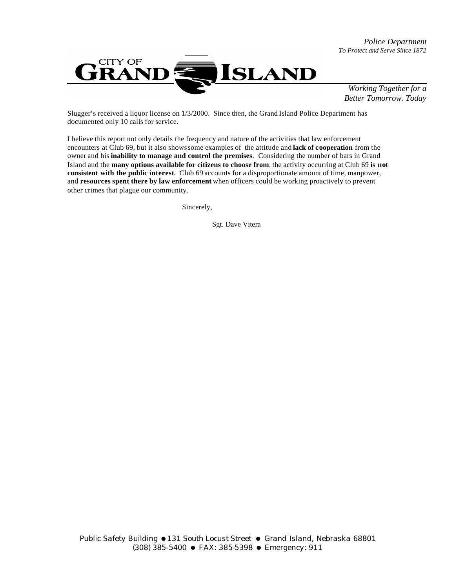

Slugger's received a liquor license on 1/3/2000. Since then, the Grand Island Police Department has documented only 10 calls for service.

I believe this report not only details the frequency and nature of the activities that law enforcement encounters at Club 69, but it also shows some examples of the attitude and **lack of cooperation** from the owner and his **inability to manage and control the premises**. Considering the number of bars in Grand Island and the **many options available for citizens to choose from**, the activity occurring at Club 69 **is not consistent with the public interest**. Club 69 accounts for a disproportionate amount of time, manpower, and **resources spent there by law enforcement** when officers could be working proactively to prevent other crimes that plague our community.

Sincerely,

Sgt. Dave Vitera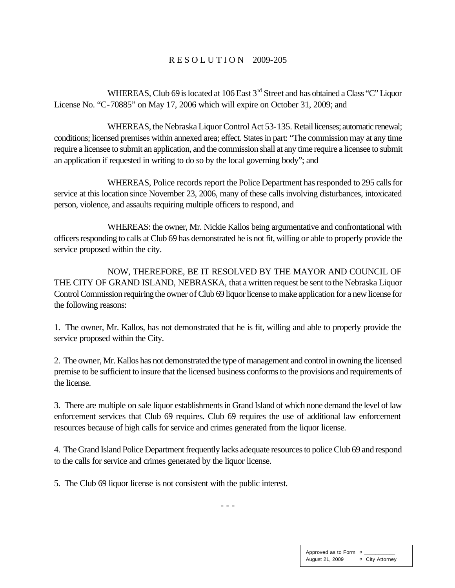#### R E S O L U T I O N 2009-205

WHEREAS, Club 69 is located at 106 East 3<sup>rd</sup> Street and has obtained a Class "C" Liquor License No. "C-70885" on May 17, 2006 which will expire on October 31, 2009; and

WHEREAS, the Nebraska Liquor Control Act 53-135. Retail licenses; automatic renewal; conditions; licensed premises within annexed area; effect. States in part: "The commission may at any time require a licensee to submit an application, and the commission shall at any time require a licensee to submit an application if requested in writing to do so by the local governing body"; and

WHEREAS, Police records report the Police Department has responded to 295 calls for service at this location since November 23, 2006, many of these calls involving disturbances, intoxicated person, violence, and assaults requiring multiple officers to respond, and

WHEREAS: the owner, Mr. Nickie Kallos being argumentative and confrontational with officers responding to calls at Club 69 has demonstrated he is not fit, willing or able to properly provide the service proposed within the city.

NOW, THEREFORE, BE IT RESOLVED BY THE MAYOR AND COUNCIL OF THE CITY OF GRAND ISLAND, NEBRASKA, that a written request be sent to the Nebraska Liquor Control Commission requiring the owner of Club 69 liquor license to make application for a new license for the following reasons:

1. The owner, Mr. Kallos, has not demonstrated that he is fit, willing and able to properly provide the service proposed within the City.

2. The owner, Mr. Kallos has not demonstrated the type of management and control in owning the licensed premise to be sufficient to insure that the licensed business conforms to the provisions and requirements of the license.

3. There are multiple on sale liquor establishments in Grand Island of which none demand the level of law enforcement services that Club 69 requires. Club 69 requires the use of additional law enforcement resources because of high calls for service and crimes generated from the liquor license.

4. The Grand Island Police Department frequently lacks adequate resources to police Club 69 and respond to the calls for service and crimes generated by the liquor license.

5. The Club 69 liquor license is not consistent with the public interest.

- - -